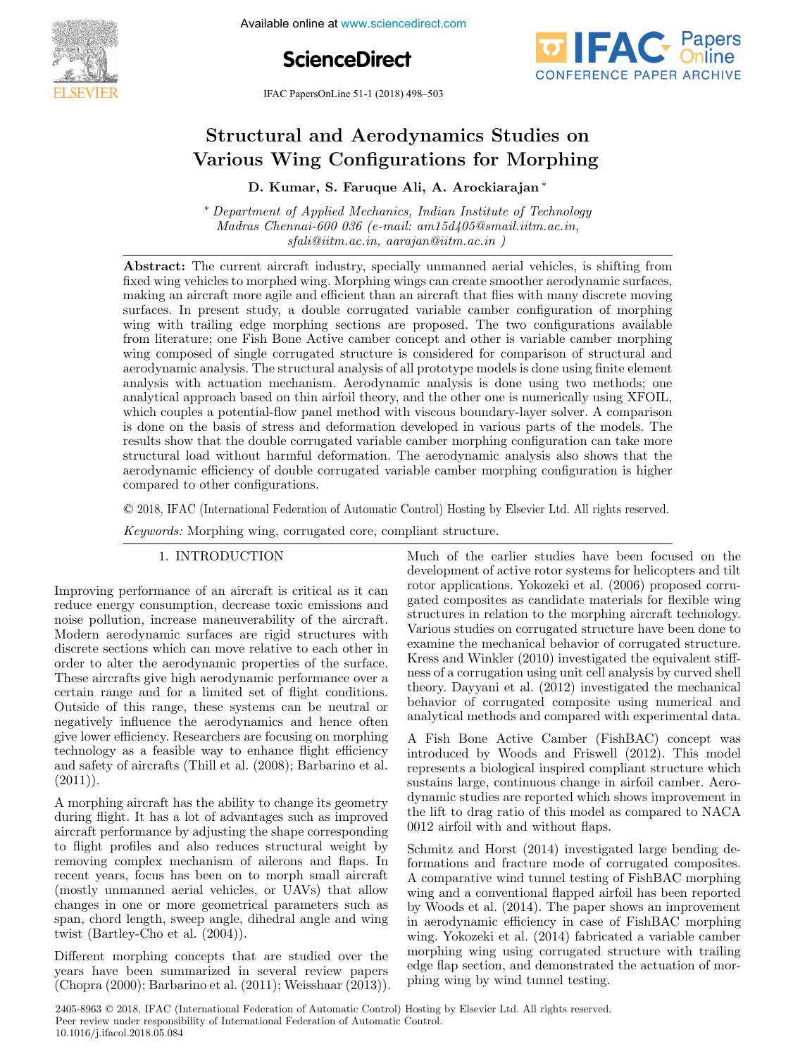

Available online at www.sciencedirect.com

# **ScienceDirect**

IFAC PapersOnLine 51-1 (2018) 498–503



#### Structural and Aerodynamics Studies on  $\mathbb{R}$  are  $\mathbb{R}$  for  $\mathbb{R}$  and  $\mathbb{R}$  are  $\mathbb{R}$   $\mathbb{R}$   $\mathbb{R}$   $\mathbb{R}$   $\mathbb{R}$   $\mathbb{R}$   $\mathbb{R}$   $\mathbb{R}$   $\mathbb{R}$   $\mathbb{R}$   $\mathbb{R}$   $\mathbb{R}$   $\mathbb{R}$   $\mathbb{R}$   $\mathbb{R}$   $\mathbb{R}$   $\mathbb{R}$   $\mathbb{R}$   $\mathbb{R}$ Structural and Aerodynamics Studies on Various Wing Configurations for Morphing D. Kumar, S. Faruque Alique Alique Alique Structural and Aerodynamics Studies on Structural and Aerodynamics Studies on Structural and Aerodynamics Studies on Various Wing Configurations for Morphing Various Wing Configurations for Morphing Various Wing Configurations for Morphing

D. Kumar, S. Faruque Ali, A. Arockiarajan <sup>∗</sup> D. Kumar, S. Faruque Ali, A. Arockiarajan <sup>∗</sup> D. Kumar, S. Faruque Ali, A. Arockiarajan <sup>∗</sup> D. Kumar, S. Faruque Ali, A. Arockiarajan <sup>∗</sup> *Department of Applied Mechanics, Indian Institute of Technology* 

<sup>∗</sup> *Department of Applied Mechanics, Indian Institute of Technology* <sup>∗</sup> *Department of Applied Mechanics, Indian Institute of Technology* Madras Chennai-600 036 (e-mail: am15d405@smail.iitm.ac.in, *sfali@iitm.ac.in, aarajan@iitm.ac.in ) sfali@iitm.ac.in, aarajan@iitm.ac.in ) sfali@iitm.ac.in, aarajan@iitm.ac.in ) Madras Chennai-600 036 (e-mail: am15d405@smail.iitm.ac.in, Madras Chennai-600 036 (e-mail: am15d405@smail.iitm.ac.in,* <sup>∗</sup> *Department of Applied Mechanics, Indian Institute of Technology* <sup>∗</sup> *Department of Applied Mechanics, Indian Institute of Technology*  $\textit{fslil@iitm.ac.in,}\textit{~aarajan@iitm.ac.in,}$ 

Abstract: The current aircraft industry, specially unmanned aerial vehicles, is shifting from Abstract: The current aircraft industry, specially unmanned aerial vehicles, is shifting from Abstract:fixed wing vehicles to morphed wing. Morphing wings can create smoother aerodynamic surfaces, making an aircraft more agile and efficient than an aircraft that flies with many discrete moving surfaces. In present study, a double corrugated variable camber configuration of morphing wing with trailing edge morphing sections are proposed. The two configurations available from literature; one Fish Bone Active camber concept and other is variable camber morphing wing composed of single corrugated structure is considered for comparison of structural and aerodynamic analysis. The structural analysis of all prototype models is done using finite element analysis with actuation mechanism. Aerodynamic analysis is done using two methods; one analytical approach based on thin airfoil theory, and the other one is numerically using XFOIL, which couples a potential-flow panel method with viscous boundary-layer solver. A comparison is done on the basis of stress and deformation developed in various parts of the models. The results show that the double corrugated variable camber morphing configuration can take more structural load without harmful deformation. The aerodynamic analysis also shows that the aerodynamic efficiency of double corrugated variable camber morphing configuration is higher compared to other configurations. *sfali@iitm.ac.in, aarajan@iitm.ac.in )* aerodynamic efficiency of double corrupated variable corresponding configuration is higher morphing configuration is higher morphing configuration is higher morphing configuration is higher morphing configuration is highe

© 2018, IFAC (International Federation of Automatic Control) Hosting by Elsevier Ltd. All rights reserved.  $\overline{c}$  compared to other configurations.  $\sim$  **EVIC)** H IIC (informational I catalacted of Hatomatic Control) Holomic st  $\overline{\textcirc}$  2018, IFAC (International Federatio

Keywords: Morphing wing, corrugated core, compliant structure. **Keywords:** Morphing wind, corresponding winds winds and corresponding to the corresponding to the complex of the complex of the corresponding to the complex of the complex of the complex of the corresponding to the comple

1. INTRODUCTION 1. INTRODUCTION 1. INTRODUCTION 1. INTRODUCTION

Improving performance of an aircraft is critical as it can Improving performance of an aircraft is critical as it can miproving performance of an ancient is critical as it can<br>reduce energy consumption, decrease toxic emissions and reduce energy consumption, decrease toxic emissions and<br>noise pollution, increase maneuverability of the aircraft. holem aerodynamic surfaces are rigid structures with discrete sections which can move relative to each other in discrete sections which can move relative to each other in<br>order to alter the aerodynamic properties of the surface. These aircrafts give high aerodynamic properties of the surface.<br>These aircrafts give high aerodynamic performance over a These ancraits give mgn aerodynamic performance over a<br>certain range and for a limited set of flight conditions. Certain range and for a minited set of inghi conditions.<br>Outside of this range, these systems can be neutral or Outside of this range, these systems can be neutral or<br>negatively influence the aerodynamics and hence often Outside of this range, these systems can be neutral or<br>negatively influence the aerodynamics and hence often<br>give lower efficiency. Researchers are focusing on morphing technology as a feasible way to enhance flight efficiency and safety of aircrafts (Thill et al.  $(2008)$ ; Barbarino et al.  $(2011)).$ and safety of aircrafts (Thill et al.  $(2000)$ ; Barbarino et al.  $(9011)$ ) technology as a feasible way to enhance fight efficiency<br>and safety of aircrafts (Thill et al. (2008): Barbarino et al.  $(2011)$ and safety of aircrafts (Thill et al.  $(2008)$ ; Barbarino et al.  $(2011)$ )  $(2011)).$ order to after the aerodynamic properties of the surface.<br>The canonic to each other in the canonic contribution of negatively inhuence the aerodynamics and hence often  $(2011)$ .

A morphing aircraft has the ability to change its geometry A morphing ancient has the ability to change its geometry<br>during flight. It has a lot of advantages such as improved during mgm. It has a lot of advantages such as improved<br>aircraft performance by adjusting the shape corresponding ancial performance by adjusting the shape corresponding<br>to flight profiles and also reduces structural weight by to might promes and also reduces structural weight by<br>removing complex mechanism of ailerons and flaps. In removing complex mechanism of allerois and haps. In<br>recent years, focus has been on to morph small aircraft recent years, tocus has been on to morph small allow<br>(mostly unmanned aerial vehicles, or UAVs) that allow changes in one or more geometrical parameters such as span, chord length, sweep angle, dihedral angle and wing changes in one or more geometrical parameters such as span, chord length, sweep angle, dihedral angle and wing changes in one or more geometrical parameters such as twist (Bartley-Cho et al. (2004)). span, chord length, sweep angle, dihedral angle and wing  $\frac{1}{200}$  (Bartley-Cho et al.  $\frac{2001}{1}$ ). twist  $(Bartlev-Cho et al. (2004))$ span, chord length, sweep angle, dihedral angle and wing<br>turiet (Bertley Change of al.  $(2004)$ ) twist (Bartley-Cho et al.  $(2004)$ ). temoving complex mechanism of alterons and haps. In

Different morphing concepts that are studied over the Different morphing concepts that are studied over the<br>years have been summarized in several review papers (Chopra (2000); Barbarino et al. (2011); Weisshaar (2013)). years have been summarized in several review papers (Chopra (2000); Barbarino et al. (2011); Weisshaar (2013)). (Chopra (2000); Barbarino et al. (2011); Weisshaar (2013)). years have been summarized in several review papers  $(\text{Chopra (2000)}; \text{Barbarino et al. (2011)}; \text{Weisshaar (2013)}).$ 

Much of the earlier studies have been focused on the Much of the earlier studies have been focused on the development of active rotor systems for helicopters and tilt revelopment of active rotor systems for nencopters and the<br>rotor applications. Yokozeki et al. (2006) proposed corruproton applications. Towards et al. (2000) proposed corru-<br>gated composites as candidate materials for flexible wing gated composites as candidate materials for hexibit wing Various studies on corrugated structure have been done to various studies on corrugated structure have been done to<br>examine the mechanical behavior of corrugated structure. Examine the mechanical behavior of corrugated structure.<br>Kress and Winkler (2010) investigated the equivalent stiff-Riess and Winkler (2010) investigated the equivalent stin-<br>ness of a corrugation using unit cell analysis by curved shell ress of a corrugation using time cent analysis by curved shell<br>theory. Dayyani et al. (2012) investigated the mechanical behavior of corrugated composite using numerical and behavior of corrugated composite using numerical and analytical methods and compared with experimental data. analytical methods and compared with experimental data. behavior of corrugated composite using numerical and<br>analytical methods and compared with experimental data.<br>A Fish Bone Active Camber (FishBAC) concept was ance of an aircraft is critical as it can<br>development of active rotor systems for helicopters and til umption, decrease toxic emissions and<br>gated composities as candidate materials for free<br>More aircraftic simulation, the analytical methods and compared with experimental data.

A Fish Bone Active Camber (FishBAC) concept was A Fish bole Active Caliber (FishBAC) collect was<br>introduced by Woods and Friswell (2012). This model represents a biological inspired compliant structure which represents a biological inspired compilant structure which dynamic studies are reported which shows improvement in the lift to drag ratio of this model as compared to NACA one in the lift to drag ratio of this model as compared to NACA 0012 airfoil with and without flaps. 0012 airfoil with and without flaps. the lift to drag ratio of this model as compared to NACA  $0.012$  sinfsil with and without flaps  $0012$  airfoil with and without flaps.

Schmitz and Horst (2014) investigated large bending de-Schmitz and Horst (2014) investigated large bending de-A comparative wind tunnel testing of FishBAC morphing A comparative wind tunner testing of FISHBAC morphing<br>wing and a conventional flapped airfoil has been reported by Woods et al. (2014). The paper shows an improvement by woods et al. (2014). The paper shows an improvement<br>in aerodynamic efficiency in case of FishBAC morphing m aerodynamic emclency in case of FISHBAC morphing<br>wing. Yokozeki et al. (2014) fabricated a variable camber wing. TOROZEKI Et al. (2014) labitcated a variable caliber<br>morphing wing using corrugated structure with trailing edge flap section, and demonstrated the actuation of morphing wing by wind tunnel testing. phing wing by wind tunnel testing. phing wing by wind tunnel testing. edge flap section, and demonstrated the actuation of morphing wing by wind training phing wing by wind tunnel testing.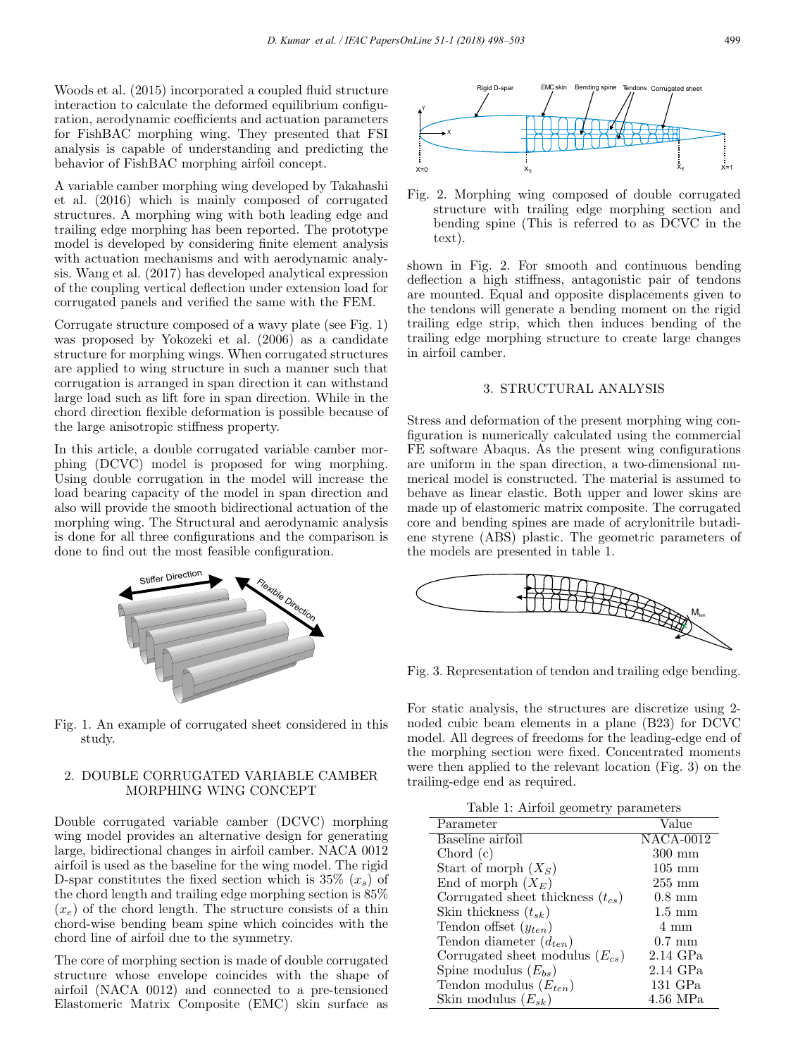Woods et al. (2015) incorporated a coupled fluid structure interaction to calculate the deformed equilibrium configuration, aerodynamic coefficients and actuation parameters for FishBAC morphing wing. They presented that FSI analysis is capable of understanding and predicting the behavior of FishBAC morphing airfoil concept.

A variable camber morphing wing developed by Takahashi et al. (2016) which is mainly composed of corrugated structures. A morphing wing with both leading edge and trailing edge morphing has been reported. The prototype model is developed by considering finite element analysis with actuation mechanisms and with aerodynamic analysis. Wang et al. (2017) has developed analytical expression of the coupling vertical deflection under extension load for corrugated panels and verified the same with the FEM.

Corrugate structure composed of a wavy plate (see Fig. 1) was proposed by Yokozeki et al. (2006) as a candidate structure for morphing wings. When corrugated structures are applied to wing structure in such a manner such that corrugation is arranged in span direction it can withstand large load such as lift fore in span direction. While in the chord direction flexible deformation is possible because of the large anisotropic stiffness property.

In this article, a double corrugated variable camber morphing (DCVC) model is proposed for wing morphing. Using double corrugation in the model will increase the load bearing capacity of the model in span direction and also will provide the smooth bidirectional actuation of the morphing wing. The Structural and aerodynamic analysis is done for all three configurations and the comparison is done to find out the most feasible configuration.



Fig. 1. An example of corrugated sheet considered in this study.

# 2. DOUBLE CORRUGATED VARIABLE CAMBER MORPHING WING CONCEPT

Double corrugated variable camber (DCVC) morphing wing model provides an alternative design for generating large, bidirectional changes in airfoil camber. NACA 0012 airfoil is used as the baseline for the wing model. The rigid D-spar constitutes the fixed section which is  $35\%$   $(x_*)$  of the chord length and trailing edge morphing section is 85%  $(x_e)$  of the chord length. The structure consists of a thin chord-wise bending beam spine which coincides with the chord line of airfoil due to the symmetry.

The core of morphing section is made of double corrugated structure whose envelope coincides with the shape of airfoil (NACA 0012) and connected to a pre-tensioned Elastomeric Matrix Composite (EMC) skin surface as



Fig. 2. Morphing wing composed of double corrugated structure with trailing edge morphing section and bending spine (This is referred to as DCVC in the text).

shown in Fig. 2. For smooth and continuous bending deflection a high stiffness, antagonistic pair of tendons are mounted. Equal and opposite displacements given to the tendons will generate a bending moment on the rigid trailing edge strip, which then induces bending of the trailing edge morphing structure to create large changes in airfoil camber.

# 3. STRUCTURAL ANALYSIS

Stress and deformation of the present morphing wing configuration is numerically calculated using the commercial FE software Abaqus. As the present wing configurations are uniform in the span direction, a two-dimensional numerical model is constructed. The material is assumed to behave as linear elastic. Both upper and lower skins are made up of elastomeric matrix composite. The corrugated core and bending spines are made of acrylonitrile butadiene styrene (ABS) plastic. The geometric parameters of the models are presented in table 1.



Fig. 3. Representation of tendon and trailing edge bending.

For static analysis, the structures are discretize using 2 noded cubic beam elements in a plane (B23) for DCVC model. All degrees of freedoms for the leading-edge end of the morphing section were fixed. Concentrated moments were then applied to the relevant location (Fig. 3) on the trailing-edge end as required.

Table 1: Airfoil geometry parameters

| Parameter                             | Value                         |
|---------------------------------------|-------------------------------|
| Baseline airfoil                      | $\overline{\text{NACA-0012}}$ |
| Chord(c)                              | $300 \text{ mm}$              |
| Start of morph $(X_S)$                | $105 \text{ mm}$              |
| End of morph $(X_E)$                  | $255 \text{ mm}$              |
| Corrugated sheet thickness $(t_{cs})$ | $0.8 \text{ mm}$              |
| Skin thickness $(t_{sk})$             | $1.5 \text{ mm}$              |
| Tendon offset $(y_{ten})$             | 4 mm                          |
| Tendon diameter $(d_{ten})$           | $0.7 \text{ mm}$              |
| Corrugated sheet modulus $(E_{cs})$   | 2.14 GPa                      |
| Spine modulus $(E_{bs})$              | 2.14 GPa                      |
| Tendon modulus $(E_{ten})$            | $131$ GPa                     |
| Skin modulus $(E_{sk})$               | 4.56 MPa                      |
|                                       |                               |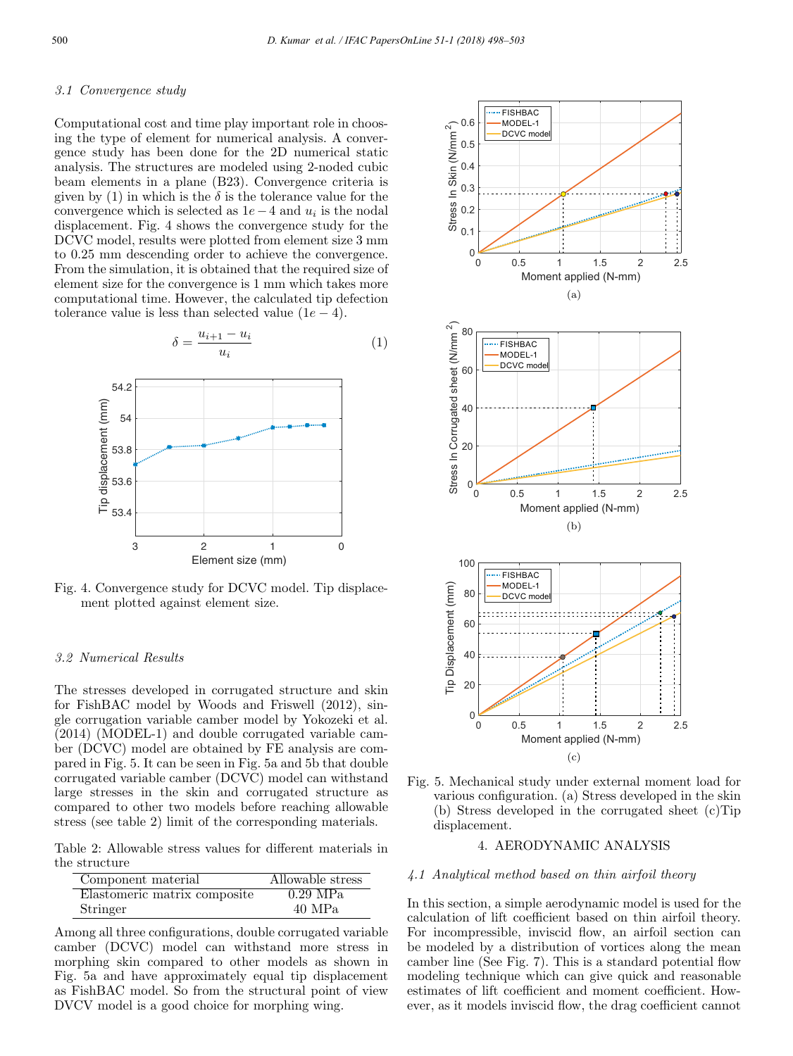#### *3.1 Convergence study*

Computational cost and time play important role in choosing the type of element for numerical analysis. A convergence study has been done for the 2D numerical static analysis. The structures are modeled using 2-noded cubic beam elements in a plane (B23). Convergence criteria is given by (1) in which is the  $\delta$  is the tolerance value for the convergence which is selected as  $1e-4$  and  $u_i$  is the nodal displacement. Fig. 4 shows the convergence study for the DCVC model, results were plotted from element size 3 mm to 0.25 mm descending order to achieve the convergence. From the simulation, it is obtained that the required size of element size for the convergence is 1 mm which takes more computational time. However, the calculated tip defection tolerance value is less than selected value  $(1e - 4)$ .

$$
\delta = \frac{u_{i+1} - u_i}{u_i} \tag{1}
$$



Fig. 4. Convergence study for DCVC model. Tip displacement plotted against element size.

## *3.2 Numerical Results*

The stresses developed in corrugated structure and skin for FishBAC model by Woods and Friswell (2012), single corrugation variable camber model by Yokozeki et al. (2014) (MODEL-1) and double corrugated variable camber (DCVC) model are obtained by FE analysis are compared in Fig. 5. It can be seen in Fig. 5a and 5b that double corrugated variable camber (DCVC) model can withstand large stresses in the skin and corrugated structure as compared to other two models before reaching allowable stress (see table 2) limit of the corresponding materials.

Table 2: Allowable stress values for different materials in the structure

| Component material           | Allowable stress |
|------------------------------|------------------|
| Elastomeric matrix composite | $0.29$ MPa       |
| Stringer                     | 40 MPa           |

Among all three configurations, double corrugated variable camber (DCVC) model can withstand more stress in morphing skin compared to other models as shown in Fig. 5a and have approximately equal tip displacement as FishBAC model. So from the structural point of view DVCV model is a good choice for morphing wing.



Fig. 5. Mechanical study under external moment load for various configuration. (a) Stress developed in the skin (b) Stress developed in the corrugated sheet (c)Tip displacement.

# 4. AERODYNAMIC ANALYSIS

#### *4.1 Analytical method based on thin airfoil theory*

In this section, a simple aerodynamic model is used for the calculation of lift coefficient based on thin airfoil theory. For incompressible, inviscid flow, an airfoil section can be modeled by a distribution of vortices along the mean camber line (See Fig. 7). This is a standard potential flow modeling technique which can give quick and reasonable estimates of lift coefficient and moment coefficient. However, as it models inviscid flow, the drag coefficient cannot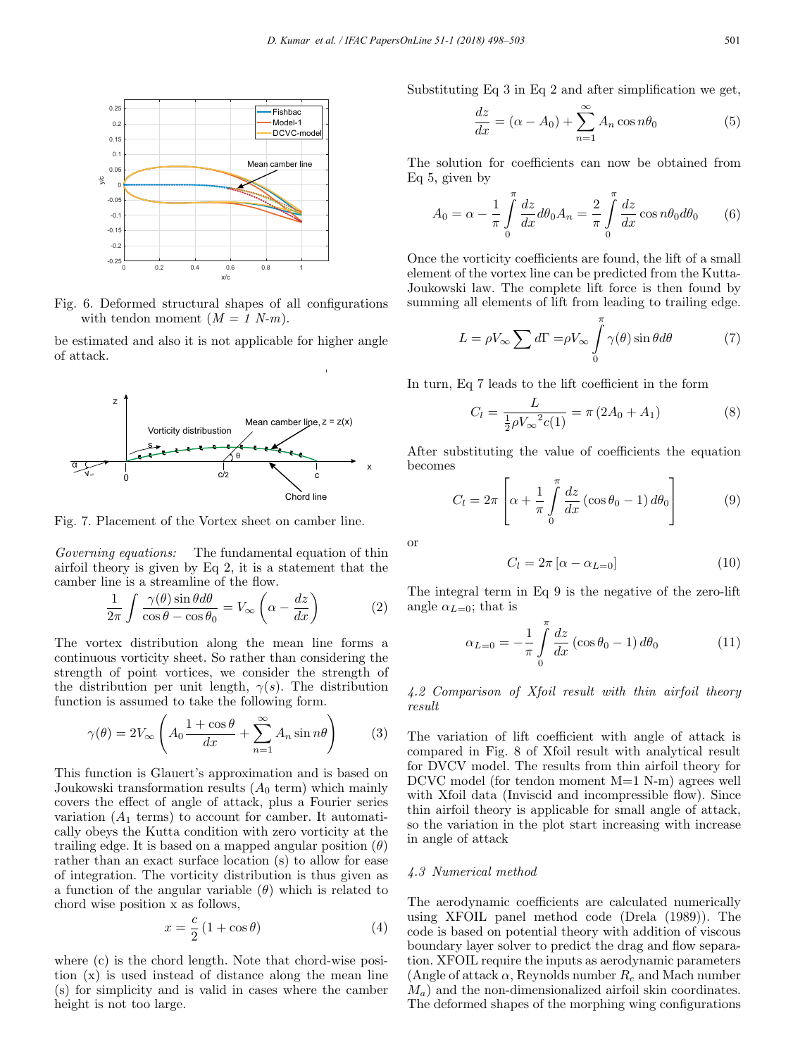

Fig. 6. Deformed structural shapes of all configurations with tendon moment  $(M = 1 \text{ N-m}).$ 

be estimated and also it is not applicable for higher angle of attack.



Fig. 7. Placement of the Vortex sheet on camber line.

*Governing equations:* The fundamental equation of thin airfoil theory is given by Eq 2, it is a statement that the camber line is a streamline of the flow.

$$
\frac{1}{2\pi} \int \frac{\gamma(\theta) \sin \theta d\theta}{\cos \theta - \cos \theta_0} = V_{\infty} \left( \alpha - \frac{dz}{dx} \right)
$$
 (2)

The vortex distribution along the mean line forms a continuous vorticity sheet. So rather than considering the strength of point vortices, we consider the strength of the distribution per unit length,  $\gamma(s)$ . The distribution function is assumed to take the following form.

$$
\gamma(\theta) = 2V_{\infty} \left( A_0 \frac{1 + \cos \theta}{dx} + \sum_{n=1}^{\infty} A_n \sin n\theta \right) \tag{3}
$$

This function is Glauert's approximation and is based on Joukowski transformation results  $(A_0 \text{ term})$  which mainly covers the effect of angle of attack, plus a Fourier series variation  $(A_1$  terms) to account for camber. It automatically obeys the Kutta condition with zero vorticity at the trailing edge. It is based on a mapped angular position  $(\theta)$ rather than an exact surface location (s) to allow for ease of integration. The vorticity distribution is thus given as a function of the angular variable  $(\theta)$  which is related to chord wise position x as follows,

$$
x = \frac{c}{2} \left( 1 + \cos \theta \right) \tag{4}
$$

where (c) is the chord length. Note that chord-wise position (x) is used instead of distance along the mean line (s) for simplicity and is valid in cases where the camber height is not too large.

Substituting Eq 3 in Eq 2 and after simplification we get,

$$
\frac{dz}{dx} = (\alpha - A_0) + \sum_{n=1}^{\infty} A_n \cos n\theta_0
$$
 (5)

The solution for coefficients can now be obtained from Eq 5, given by

$$
A_0 = \alpha - \frac{1}{\pi} \int_0^{\pi} \frac{dz}{dx} d\theta_0 A_n = \frac{2}{\pi} \int_0^{\pi} \frac{dz}{dx} \cos n\theta_0 d\theta_0 \qquad (6)
$$

Once the vorticity coefficients are found, the lift of a small element of the vortex line can be predicted from the Kutta-Joukowski law. The complete lift force is then found by summing all elements of lift from leading to trailing edge.

$$
L = \rho V_{\infty} \sum d\Gamma = \rho V_{\infty} \int_{0}^{\pi} \gamma(\theta) \sin \theta d\theta \qquad (7)
$$

In turn, Eq 7 leads to the lift coefficient in the form

$$
C_l = \frac{L}{\frac{1}{2}\rho V_{\infty}^2 c(1)} = \pi (2A_0 + A_1)
$$
 (8)

After substituting the value of coefficients the equation becomes

$$
C_l = 2\pi \left[ \alpha + \frac{1}{\pi} \int\limits_0^\pi \frac{dz}{dx} \left( \cos \theta_0 - 1 \right) d\theta_0 \right]
$$
 (9)

or

$$
C_l = 2\pi \left[ \alpha - \alpha_{L=0} \right] \tag{10}
$$

The integral term in Eq 9 is the negative of the zero-lift angle  $\alpha_{L=0}$ ; that is

$$
\alpha_{L=0} = -\frac{1}{\pi} \int\limits_0^\pi \frac{dz}{dx} \left(\cos \theta_0 - 1\right) d\theta_0 \tag{11}
$$

*4.2 Comparison of Xfoil result with thin airfoil theory result*

The variation of lift coefficient with angle of attack is compared in Fig. 8 of Xfoil result with analytical result for DVCV model. The results from thin airfoil theory for DCVC model (for tendon moment M=1 N-m) agrees well with Xfoil data (Inviscid and incompressible flow). Since thin airfoil theory is applicable for small angle of attack, so the variation in the plot start increasing with increase in angle of attack

# *4.3 Numerical method*

The aerodynamic coefficients are calculated numerically using XFOIL panel method code (Drela (1989)). The code is based on potential theory with addition of viscous boundary layer solver to predict the drag and flow separation. XFOIL require the inputs as aerodynamic parameters (Angle of attack  $\alpha$ , Reynolds number  $R_e$  and Mach number  $M_a$ ) and the non-dimensionalized airfoil skin coordinates. The deformed shapes of the morphing wing configurations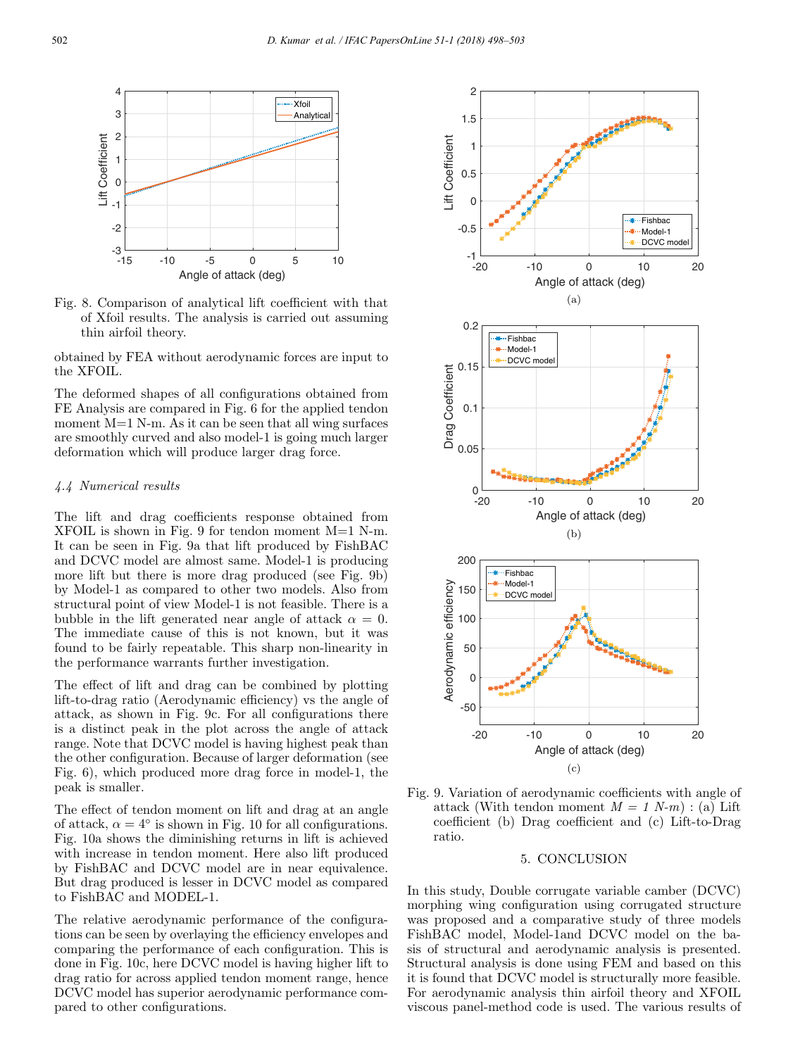

Fig. 8. Comparison of analytical lift coefficient with that of Xfoil results. The analysis is carried out assuming thin airfoil theory.

obtained by FEA without aerodynamic forces are input to the XFOIL.

The deformed shapes of all configurations obtained from FE Analysis are compared in Fig. 6 for the applied tendon moment M=1 N-m. As it can be seen that all wing surfaces are smoothly curved and also model-1 is going much larger deformation which will produce larger drag force.

# *4.4 Numerical results*

The lift and drag coefficients response obtained from XFOIL is shown in Fig. 9 for tendon moment  $M=1$  N-m. It can be seen in Fig. 9a that lift produced by FishBAC and DCVC model are almost same. Model-1 is producing more lift but there is more drag produced (see Fig. 9b) by Model-1 as compared to other two models. Also from structural point of view Model-1 is not feasible. There is a bubble in the lift generated near angle of attack  $\alpha = 0$ . The immediate cause of this is not known, but it was found to be fairly repeatable. This sharp non-linearity in the performance warrants further investigation.

The effect of lift and drag can be combined by plotting lift-to-drag ratio (Aerodynamic efficiency) vs the angle of attack, as shown in Fig. 9c. For all configurations there is a distinct peak in the plot across the angle of attack range. Note that DCVC model is having highest peak than the other configuration. Because of larger deformation (see Fig. 6), which produced more drag force in model-1, the peak is smaller.

The effect of tendon moment on lift and drag at an angle of attack,  $\alpha = 4^{\circ}$  is shown in Fig. 10 for all configurations. Fig. 10a shows the diminishing returns in lift is achieved with increase in tendon moment. Here also lift produced by FishBAC and DCVC model are in near equivalence. But drag produced is lesser in DCVC model as compared to FishBAC and MODEL-1.

The relative aerodynamic performance of the configurations can be seen by overlaying the efficiency envelopes and comparing the performance of each configuration. This is done in Fig. 10c, here DCVC model is having higher lift to drag ratio for across applied tendon moment range, hence DCVC model has superior aerodynamic performance compared to other configurations.



Fig. 9. Variation of aerodynamic coefficients with angle of attack (With tendon moment  $M = 1$  N-m) : (a) Lift coefficient (b) Drag coefficient and (c) Lift-to-Drag ratio.

#### 5. CONCLUSION

In this study, Double corrugate variable camber (DCVC) morphing wing configuration using corrugated structure was proposed and a comparative study of three models FishBAC model, Model-1and DCVC model on the basis of structural and aerodynamic analysis is presented. Structural analysis is done using FEM and based on this it is found that DCVC model is structurally more feasible. For aerodynamic analysis thin airfoil theory and XFOIL viscous panel-method code is used. The various results of